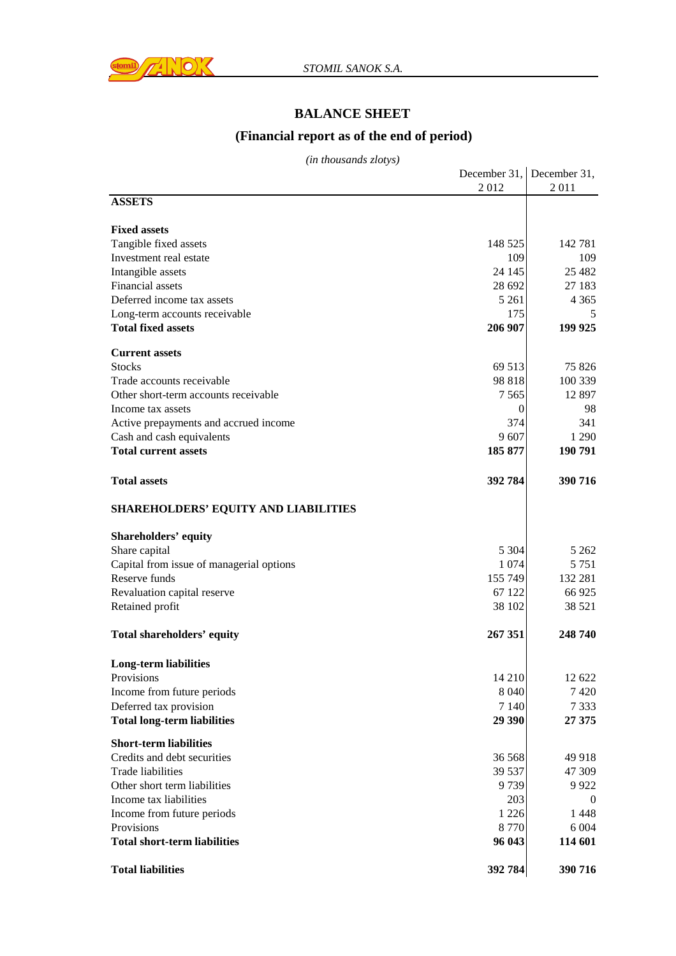

## **BALANCE SHEET**

## **(Financial report as of the end of period)**

*(in thousands zlotys)*

|                                             |         | December 31, December 31, |
|---------------------------------------------|---------|---------------------------|
|                                             | 2012    | 2011                      |
| <b>ASSETS</b>                               |         |                           |
| <b>Fixed assets</b>                         |         |                           |
| Tangible fixed assets                       | 148 525 | 142 781                   |
| Investment real estate                      | 109     | 109                       |
| Intangible assets                           | 24 145  | 25 4 82                   |
| Financial assets                            | 28 692  | 27 183                    |
| Deferred income tax assets                  | 5 2 6 1 | 4 3 6 5                   |
| Long-term accounts receivable               | 175     | 5.                        |
| <b>Total fixed assets</b>                   | 206 907 | 199 925                   |
| <b>Current assets</b>                       |         |                           |
| <b>Stocks</b>                               | 69 513  | 75 826                    |
| Trade accounts receivable                   | 98 818  | 100 339                   |
| Other short-term accounts receivable        | 7 5 6 5 | 12 897                    |
| Income tax assets                           | 0       | 98                        |
| Active prepayments and accrued income       | 374     | 341                       |
| Cash and cash equivalents                   | 9607    | 1 2 9 0                   |
| <b>Total current assets</b>                 | 185 877 | 190 791                   |
| <b>Total assets</b>                         | 392 784 | 390 716                   |
| <b>SHAREHOLDERS' EQUITY AND LIABILITIES</b> |         |                           |
| <b>Shareholders' equity</b>                 |         |                           |
| Share capital                               | 5 3 0 4 | 5 2 6 2                   |
| Capital from issue of managerial options    | 1 0 7 4 | 5 7 5 1                   |
| Reserve funds                               | 155 749 | 132 281                   |
| Revaluation capital reserve                 | 67 122  | 66 925                    |
| Retained profit                             | 38 102  | 38 5 21                   |
| <b>Total shareholders' equity</b>           | 267 351 | 248 740                   |
| <b>Long-term liabilities</b>                |         |                           |
| Provisions                                  | 14 210  | 12 622                    |
| Income from future periods                  | 8 0 4 0 | 7 4 2 0                   |
| Deferred tax provision                      | 7 1 4 0 | 7 3 3 3                   |
| <b>Total long-term liabilities</b>          | 29 390  | 27 375                    |
| <b>Short-term liabilities</b>               |         |                           |
| Credits and debt securities                 | 36 568  | 49 918                    |
| <b>Trade liabilities</b>                    | 39 537  | 47 309                    |
| Other short term liabilities                | 9739    | 9 9 22                    |
| Income tax liabilities                      | 203     | $\theta$                  |
| Income from future periods                  | 1 2 2 6 | 1448                      |
| Provisions                                  | 8770    | 6 0 0 4                   |
| <b>Total short-term liabilities</b>         | 96 043  | 114 601                   |
| <b>Total liabilities</b>                    | 392 784 | 390 716                   |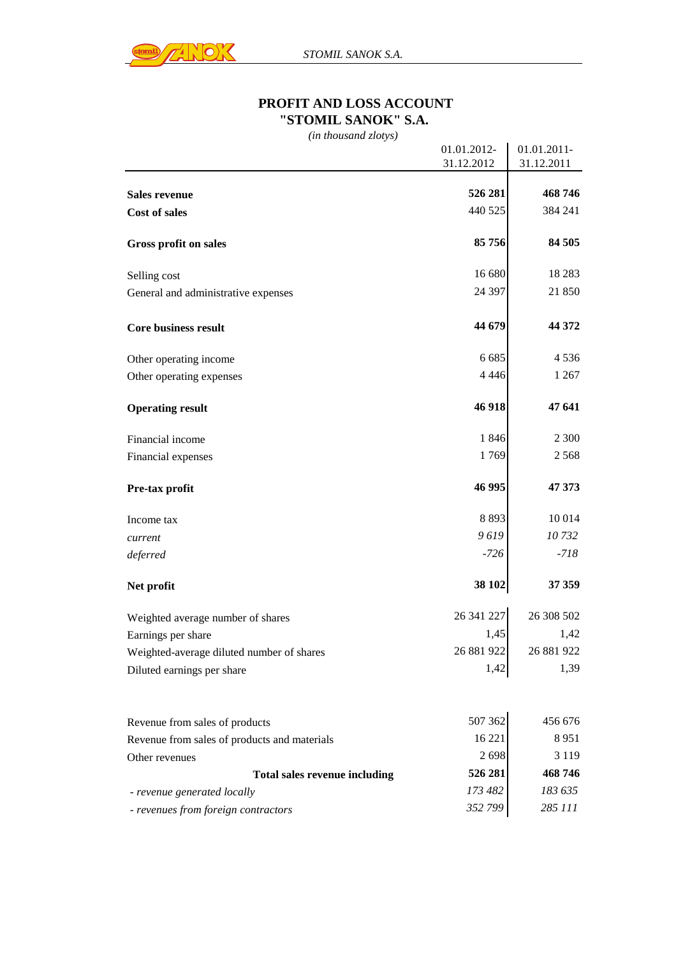

## **PROFIT AND LOSS ACCOUNT "STOMIL SANOK" S.A.**

*(in thousand zlotys)*

|                                              | 01.01.2012- | 01.01.2011- |
|----------------------------------------------|-------------|-------------|
|                                              | 31.12.2012  | 31.12.2011  |
|                                              |             |             |
| <b>Sales revenue</b>                         | 526 281     | 468746      |
| <b>Cost of sales</b>                         | 440 525     | 384 241     |
| Gross profit on sales                        | 85 756      | 84 505      |
| Selling cost                                 | 16 680      | 18 2 8 3    |
| General and administrative expenses          | 24 397      | 21 850      |
| <b>Core business result</b>                  | 44 679      | 44 372      |
| Other operating income                       | 6 6 8 5     | 4 5 3 6     |
| Other operating expenses                     | 4 4 4 6     | 1 2 6 7     |
| <b>Operating result</b>                      | 46 918      | 47 641      |
| Financial income                             | 1846        | 2 3 0 0     |
| Financial expenses                           | 1769        | 2 5 6 8     |
| Pre-tax profit                               | 46 995      | 47 373      |
| Income tax                                   | 8893        | 10 0 14     |
| current                                      | 9619        | 10732       |
| deferred                                     | $-726$      | $-718$      |
| Net profit                                   | 38 102      | 37 359      |
| Weighted average number of shares            | 26 341 227  | 26 308 502  |
| Earnings per share                           | 1,45        | 1,42        |
| Weighted-average diluted number of shares    | 26 881 922  | 26 881 922  |
| Diluted earnings per share                   | 1,42        | 1,39        |
|                                              |             |             |
| Revenue from sales of products               | 507 362     | 456 676     |
| Revenue from sales of products and materials | 16 221      | 8951        |
| Other revenues                               | 2698        | 3 1 1 9     |
| <b>Total sales revenue including</b>         | 526 281     | 468746      |
| - revenue generated locally                  | 173 482     | 183 635     |
| - revenues from foreign contractors          | 352 799     | 285 111     |
|                                              |             |             |